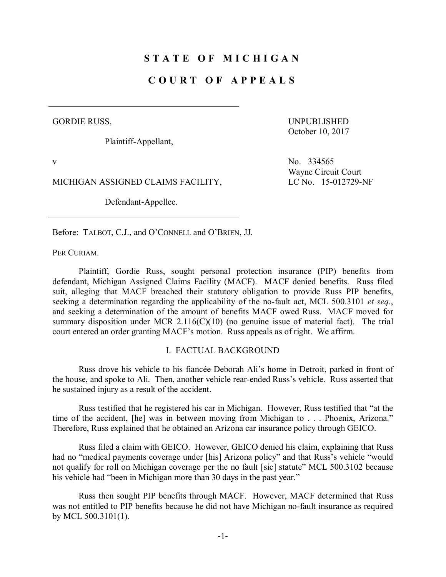# **S T A T E O F M I C H I G A N**

## **C O U R T O F A P P E A L S**

GORDIE RUSS,

Plaintiff-Appellant,

UNPUBLISHED October 10, 2017

MICHIGAN ASSIGNED CLAIMS FACILITY, LC No. 15-012729-NF

Defendant-Appellee.

v No. 334565 Wayne Circuit Court

Before: TALBOT, C.J., and O'CONNELL and O'BRIEN, JJ.

PER CURIAM.

Plaintiff, Gordie Russ, sought personal protection insurance (PIP) benefits from defendant, Michigan Assigned Claims Facility (MACF). MACF denied benefits. Russ filed suit, alleging that MACF breached their statutory obligation to provide Russ PIP benefits, seeking a determination regarding the applicability of the no-fault act, MCL 500.3101 *et seq*., and seeking a determination of the amount of benefits MACF owed Russ. MACF moved for summary disposition under MCR 2.116(C)(10) (no genuine issue of material fact). The trial court entered an order granting MACF's motion. Russ appeals as of right. We affirm.

#### I. FACTUAL BACKGROUND

Russ drove his vehicle to his fiancée Deborah Ali's home in Detroit, parked in front of the house, and spoke to Ali. Then, another vehicle rear-ended Russ's vehicle. Russ asserted that he sustained injury as a result of the accident.

Russ testified that he registered his car in Michigan. However, Russ testified that "at the time of the accident, [he] was in between moving from Michigan to . . . Phoenix, Arizona." Therefore, Russ explained that he obtained an Arizona car insurance policy through GEICO.

Russ filed a claim with GEICO. However, GEICO denied his claim, explaining that Russ had no "medical payments coverage under [his] Arizona policy" and that Russ's vehicle "would not qualify for roll on Michigan coverage per the no fault [sic] statute" MCL 500.3102 because his vehicle had "been in Michigan more than 30 days in the past year."

Russ then sought PIP benefits through MACF. However, MACF determined that Russ was not entitled to PIP benefits because he did not have Michigan no-fault insurance as required by MCL 500.3101(1).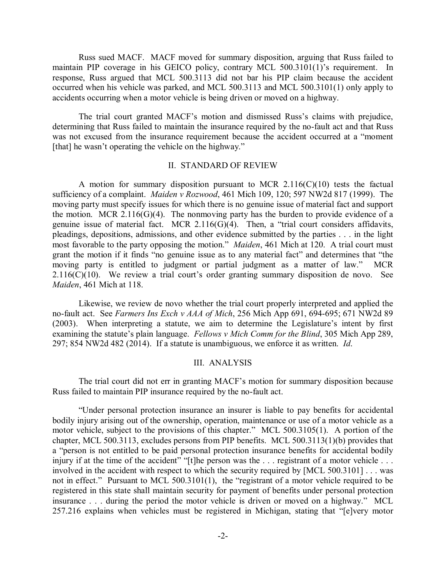Russ sued MACF. MACF moved for summary disposition, arguing that Russ failed to maintain PIP coverage in his GEICO policy, contrary MCL 500.3101(1)'s requirement. In response, Russ argued that MCL 500.3113 did not bar his PIP claim because the accident occurred when his vehicle was parked, and MCL 500.3113 and MCL 500.3101(1) only apply to accidents occurring when a motor vehicle is being driven or moved on a highway.

The trial court granted MACF's motion and dismissed Russ's claims with prejudice, determining that Russ failed to maintain the insurance required by the no-fault act and that Russ was not excused from the insurance requirement because the accident occurred at a "moment [that] he wasn't operating the vehicle on the highway."

### II. STANDARD OF REVIEW

A motion for summary disposition pursuant to MCR  $2.116(C)(10)$  tests the factual sufficiency of a complaint. *Maiden v Rozwood*, 461 Mich 109, 120; 597 NW2d 817 (1999). The moving party must specify issues for which there is no genuine issue of material fact and support the motion. MCR 2.116(G)(4). The nonmoving party has the burden to provide evidence of a genuine issue of material fact. MCR 2.116(G)(4).Then, a "trial court considers affidavits, pleadings, depositions, admissions, and other evidence submitted by the parties . . . in the light most favorable to the party opposing the motion." *Maiden*, 461 Mich at 120.A trial court must grant the motion if it finds "no genuine issue as to any material fact" and determines that "the moving party is entitled to judgment or partial judgment as a matter of law." MCR  $2.116(C)(10)$ . We review a trial court's order granting summary disposition de novo. See *Maiden*, 461 Mich at 118.

Likewise, we review de novo whether the trial court properly interpreted and applied the no-fault act. See *Farmers Ins Exch v AAA of Mich*, 256 Mich App 691, 694-695; 671 NW2d 89 (2003). When interpreting a statute, we aim to determine the Legislature's intent by first examining the statute's plain language. *Fellows v Mich Comm for the Blind*, 305 Mich App 289, 297; 854 NW2d 482 (2014). If a statute is unambiguous, we enforce it as written. *Id*.

#### III. ANALYSIS

The trial court did not err in granting MACF's motion for summary disposition because Russ failed to maintain PIP insurance required by the no-fault act.

"Under personal protection insurance an insurer is liable to pay benefits for accidental bodily injury arising out of the ownership, operation, maintenance or use of a motor vehicle as a motor vehicle, subject to the provisions of this chapter." MCL 500.3105(1). A portion of the chapter, MCL 500.3113, excludes persons from PIP benefits. MCL 500.3113(1)(b) provides that a "person is not entitled to be paid personal protection insurance benefits for accidental bodily injury if at the time of the accident" "[t]he person was the . . . registrant of a motor vehicle . . . involved in the accident with respect to which the security required by [MCL 500.3101] . . . was not in effect." Pursuant to MCL 500.3101(1), the "registrant of a motor vehicle required to be registered in this state shall maintain security for payment of benefits under personal protection insurance . . . during the period the motor vehicle is driven or moved on a highway." MCL 257.216 explains when vehicles must be registered in Michigan, stating that "[e]very motor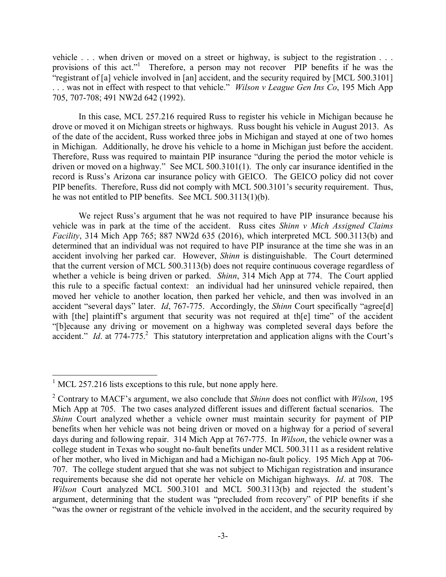vehicle . . . when driven or moved on a street or highway, is subject to the registration . . . provisions of this act."<sup>1</sup> Therefore, a person may not recover PIP benefits if he was the "registrant of [a] vehicle involved in [an] accident, and the security required by [MCL 500.3101] . . . was not in effect with respect to that vehicle." *Wilson v League Gen Ins Co*, 195 Mich App 705, 707-708; 491 NW2d 642 (1992).

In this case, MCL 257.216 required Russ to register his vehicle in Michigan because he drove or moved it on Michigan streets or highways. Russ bought his vehicle in August 2013. As of the date of the accident, Russ worked three jobs in Michigan and stayed at one of two homes in Michigan. Additionally, he drove his vehicle to a home in Michigan just before the accident. Therefore, Russ was required to maintain PIP insurance "during the period the motor vehicle is driven or moved on a highway." See MCL 500.3101(1). The only car insurance identified in the record is Russ's Arizona car insurance policy with GEICO. The GEICO policy did not cover PIP benefits. Therefore, Russ did not comply with MCL 500.3101's security requirement. Thus, he was not entitled to PIP benefits. See MCL 500.3113(1)(b).

We reject Russ's argument that he was not required to have PIP insurance because his vehicle was in park at the time of the accident. Russ cites *Shinn v Mich Assigned Claims Facility*, 314 Mich App 765; 887 NW2d 635 (2016), which interpreted MCL 500.3113(b) and determined that an individual was not required to have PIP insurance at the time she was in an accident involving her parked car. However, *Shinn* is distinguishable. The Court determined that the current version of MCL 500.3113(b) does not require continuous coverage regardless of whether a vehicle is being driven or parked. *Shinn*, 314 Mich App at 774. The Court applied this rule to a specific factual context: an individual had her uninsured vehicle repaired, then moved her vehicle to another location, then parked her vehicle, and then was involved in an accident "several days" later. *Id*, 767-775. Accordingly, the *Shinn* Court specifically "agree[d] with [the] plaintiff's argument that security was not required at th[e] time" of the accident "[b]ecause any driving or movement on a highway was completed several days before the accident." *Id.* at 774-775.<sup>2</sup> This statutory interpretation and application aligns with the Court's

 $<sup>1</sup>$  MCL 257.216 lists exceptions to this rule, but none apply here.</sup>

<sup>2</sup> Contrary to MACF's argument, we also conclude that *Shinn* does not conflict with *Wilson*, 195 Mich App at 705. The two cases analyzed different issues and different factual scenarios. The *Shinn* Court analyzed whether a vehicle owner must maintain security for payment of PIP benefits when her vehicle was not being driven or moved on a highway for a period of several days during and following repair. 314 Mich App at 767-775. In *Wilson*, the vehicle owner was a college student in Texas who sought no-fault benefits under MCL 500.3111 as a resident relative of her mother, who lived in Michigan and had a Michigan no-fault policy. 195 Mich App at 706- 707. The college student argued that she was not subject to Michigan registration and insurance requirements because she did not operate her vehicle on Michigan highways. *Id*. at 708. The *Wilson* Court analyzed MCL 500.3101 and MCL 500.3113(b) and rejected the student's argument, determining that the student was "precluded from recovery" of PIP benefits if she "was the owner or registrant of the vehicle involved in the accident, and the security required by